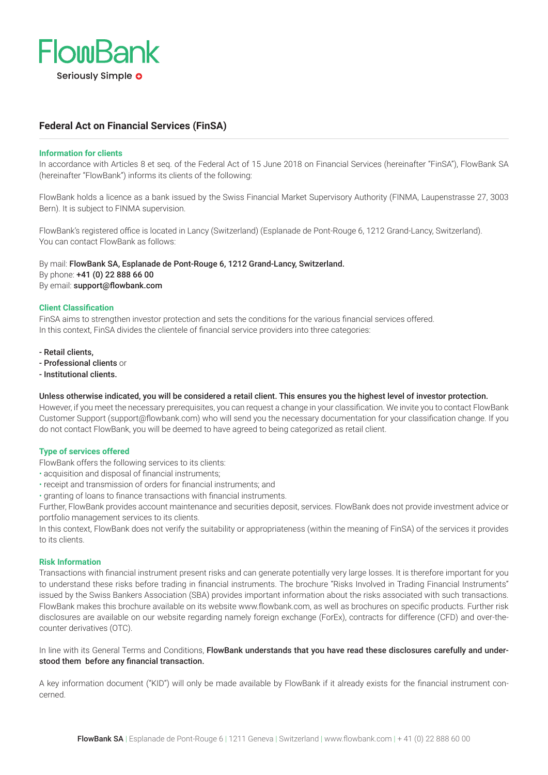

# **Federal Act on Financial Services (FinSA)**

# **Information for clients**

In accordance with Articles 8 et seq. of the Federal Act of 15 June 2018 on Financial Services (hereinafter "FinSA"), FlowBank SA (hereinafter "FlowBank") informs its clients of the following:

FlowBank holds a licence as a bank issued by the Swiss Financial Market Supervisory Authority (FINMA, Laupenstrasse 27, 3003 Bern). It is subject to FINMA supervision.

FlowBank's registered office is located in Lancy (Switzerland) (Esplanade de Pont-Rouge 6, 1212 Grand-Lancy, Switzerland). You can contact FlowBank as follows:

By mail: FlowBank SA, Esplanade de Pont-Rouge 6, 1212 Grand-Lancy, Switzerland. By phone: +41 (0) 22 888 66 00 By email: support@flowbank.com

## **Client Classification**

FinSA aims to strengthen investor protection and sets the conditions for the various financial services offered. In this context, FinSA divides the clientele of financial service providers into three categories:

- Retail clients,
- Professional clients or
- Institutional clients.

# Unless otherwise indicated, you will be considered a retail client. This ensures you the highest level of investor protection.

However, if you meet the necessary prerequisites, you can request a change in your classification. We invite you to contact FlowBank Customer Support (support@flowbank.com) who will send you the necessary documentation for your classification change. If you do not contact FlowBank, you will be deemed to have agreed to being categorized as retail client.

# **Type of services offered**

- FlowBank offers the following services to its clients:
- acquisition and disposal of financial instruments;
- receipt and transmission of orders for financial instruments; and
- granting of loans to finance transactions with financial instruments.

Further, FlowBank provides account maintenance and securities deposit, services. FlowBank does not provide investment advice or portfolio management services to its clients.

In this context, FlowBank does not verify the suitability or appropriateness (within the meaning of FinSA) of the services it provides to its clients.

#### **Risk Information**

Transactions with financial instrument present risks and can generate potentially very large losses. It is therefore important for you to understand these risks before trading in financial instruments. The brochure "Risks Involved in Trading Financial Instruments" issued by the Swiss Bankers Association (SBA) provides important information about the risks associated with such transactions. FlowBank makes this brochure available on its website www.flowbank.com, as well as brochures on specific products. Further risk disclosures are available on our website regarding namely foreign exchange (ForEx), contracts for difference (CFD) and over-thecounter derivatives (OTC).

# In line with its General Terms and Conditions, FlowBank understands that you have read these disclosures carefully and understood them before any financial transaction.

A key information document ("KID") will only be made available by FlowBank if it already exists for the financial instrument concerned.